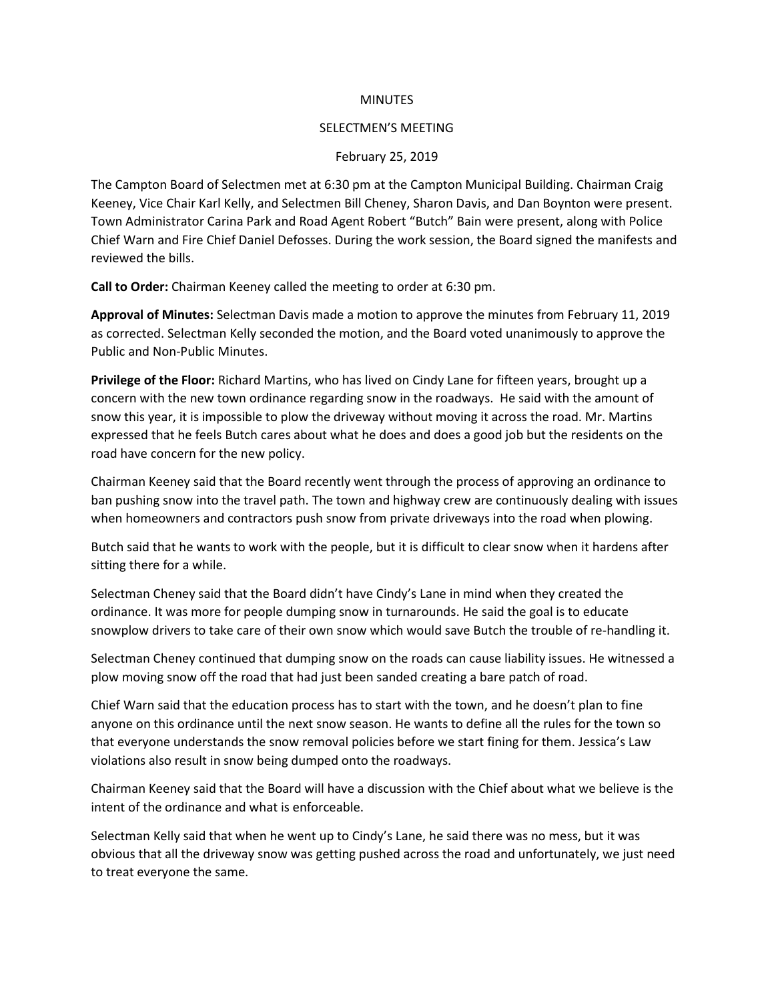#### **MINUTES**

#### SELECTMEN'S MEETING

#### February 25, 2019

The Campton Board of Selectmen met at 6:30 pm at the Campton Municipal Building. Chairman Craig Keeney, Vice Chair Karl Kelly, and Selectmen Bill Cheney, Sharon Davis, and Dan Boynton were present. Town Administrator Carina Park and Road Agent Robert "Butch" Bain were present, along with Police Chief Warn and Fire Chief Daniel Defosses. During the work session, the Board signed the manifests and reviewed the bills.

**Call to Order:** Chairman Keeney called the meeting to order at 6:30 pm.

**Approval of Minutes:** Selectman Davis made a motion to approve the minutes from February 11, 2019 as corrected. Selectman Kelly seconded the motion, and the Board voted unanimously to approve the Public and Non-Public Minutes.

**Privilege of the Floor:** Richard Martins, who has lived on Cindy Lane for fifteen years, brought up a concern with the new town ordinance regarding snow in the roadways. He said with the amount of snow this year, it is impossible to plow the driveway without moving it across the road. Mr. Martins expressed that he feels Butch cares about what he does and does a good job but the residents on the road have concern for the new policy.

Chairman Keeney said that the Board recently went through the process of approving an ordinance to ban pushing snow into the travel path. The town and highway crew are continuously dealing with issues when homeowners and contractors push snow from private driveways into the road when plowing.

Butch said that he wants to work with the people, but it is difficult to clear snow when it hardens after sitting there for a while.

Selectman Cheney said that the Board didn't have Cindy's Lane in mind when they created the ordinance. It was more for people dumping snow in turnarounds. He said the goal is to educate snowplow drivers to take care of their own snow which would save Butch the trouble of re-handling it.

Selectman Cheney continued that dumping snow on the roads can cause liability issues. He witnessed a plow moving snow off the road that had just been sanded creating a bare patch of road.

Chief Warn said that the education process has to start with the town, and he doesn't plan to fine anyone on this ordinance until the next snow season. He wants to define all the rules for the town so that everyone understands the snow removal policies before we start fining for them. Jessica's Law violations also result in snow being dumped onto the roadways.

Chairman Keeney said that the Board will have a discussion with the Chief about what we believe is the intent of the ordinance and what is enforceable.

Selectman Kelly said that when he went up to Cindy's Lane, he said there was no mess, but it was obvious that all the driveway snow was getting pushed across the road and unfortunately, we just need to treat everyone the same.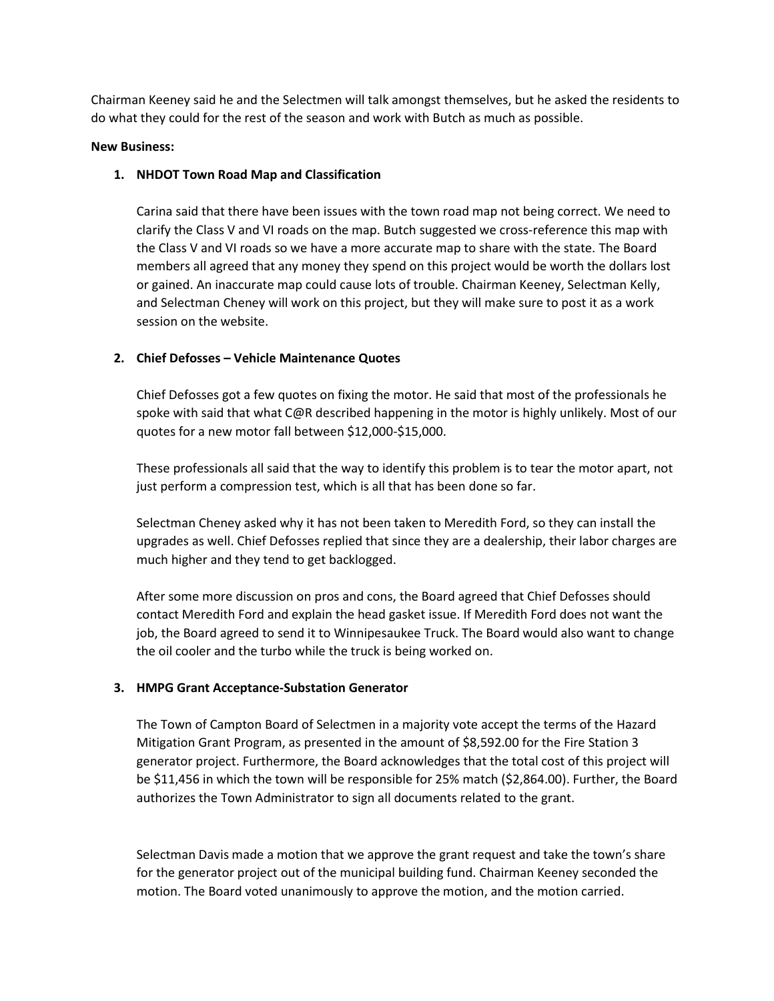Chairman Keeney said he and the Selectmen will talk amongst themselves, but he asked the residents to do what they could for the rest of the season and work with Butch as much as possible.

## **New Business:**

## **1. NHDOT Town Road Map and Classification**

Carina said that there have been issues with the town road map not being correct. We need to clarify the Class V and VI roads on the map. Butch suggested we cross-reference this map with the Class V and VI roads so we have a more accurate map to share with the state. The Board members all agreed that any money they spend on this project would be worth the dollars lost or gained. An inaccurate map could cause lots of trouble. Chairman Keeney, Selectman Kelly, and Selectman Cheney will work on this project, but they will make sure to post it as a work session on the website.

# **2. Chief Defosses – Vehicle Maintenance Quotes**

Chief Defosses got a few quotes on fixing the motor. He said that most of the professionals he spoke with said that what C@R described happening in the motor is highly unlikely. Most of our quotes for a new motor fall between \$12,000-\$15,000.

These professionals all said that the way to identify this problem is to tear the motor apart, not just perform a compression test, which is all that has been done so far.

Selectman Cheney asked why it has not been taken to Meredith Ford, so they can install the upgrades as well. Chief Defosses replied that since they are a dealership, their labor charges are much higher and they tend to get backlogged.

After some more discussion on pros and cons, the Board agreed that Chief Defosses should contact Meredith Ford and explain the head gasket issue. If Meredith Ford does not want the job, the Board agreed to send it to Winnipesaukee Truck. The Board would also want to change the oil cooler and the turbo while the truck is being worked on.

## **3. HMPG Grant Acceptance-Substation Generator**

The Town of Campton Board of Selectmen in a majority vote accept the terms of the Hazard Mitigation Grant Program, as presented in the amount of \$8,592.00 for the Fire Station 3 generator project. Furthermore, the Board acknowledges that the total cost of this project will be \$11,456 in which the town will be responsible for 25% match (\$2,864.00). Further, the Board authorizes the Town Administrator to sign all documents related to the grant.

Selectman Davis made a motion that we approve the grant request and take the town's share for the generator project out of the municipal building fund. Chairman Keeney seconded the motion. The Board voted unanimously to approve the motion, and the motion carried.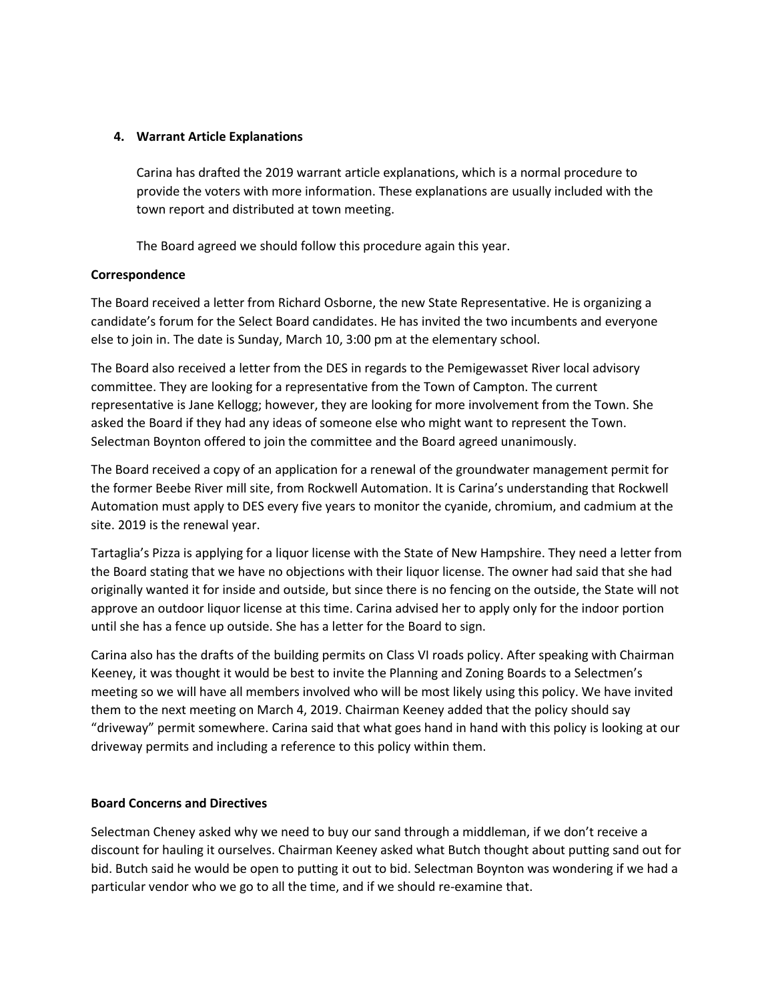#### **4. Warrant Article Explanations**

Carina has drafted the 2019 warrant article explanations, which is a normal procedure to provide the voters with more information. These explanations are usually included with the town report and distributed at town meeting.

The Board agreed we should follow this procedure again this year.

#### **Correspondence**

The Board received a letter from Richard Osborne, the new State Representative. He is organizing a candidate's forum for the Select Board candidates. He has invited the two incumbents and everyone else to join in. The date is Sunday, March 10, 3:00 pm at the elementary school.

The Board also received a letter from the DES in regards to the Pemigewasset River local advisory committee. They are looking for a representative from the Town of Campton. The current representative is Jane Kellogg; however, they are looking for more involvement from the Town. She asked the Board if they had any ideas of someone else who might want to represent the Town. Selectman Boynton offered to join the committee and the Board agreed unanimously.

The Board received a copy of an application for a renewal of the groundwater management permit for the former Beebe River mill site, from Rockwell Automation. It is Carina's understanding that Rockwell Automation must apply to DES every five years to monitor the cyanide, chromium, and cadmium at the site. 2019 is the renewal year.

Tartaglia's Pizza is applying for a liquor license with the State of New Hampshire. They need a letter from the Board stating that we have no objections with their liquor license. The owner had said that she had originally wanted it for inside and outside, but since there is no fencing on the outside, the State will not approve an outdoor liquor license at this time. Carina advised her to apply only for the indoor portion until she has a fence up outside. She has a letter for the Board to sign.

Carina also has the drafts of the building permits on Class VI roads policy. After speaking with Chairman Keeney, it was thought it would be best to invite the Planning and Zoning Boards to a Selectmen's meeting so we will have all members involved who will be most likely using this policy. We have invited them to the next meeting on March 4, 2019. Chairman Keeney added that the policy should say "driveway" permit somewhere. Carina said that what goes hand in hand with this policy is looking at our driveway permits and including a reference to this policy within them.

## **Board Concerns and Directives**

Selectman Cheney asked why we need to buy our sand through a middleman, if we don't receive a discount for hauling it ourselves. Chairman Keeney asked what Butch thought about putting sand out for bid. Butch said he would be open to putting it out to bid. Selectman Boynton was wondering if we had a particular vendor who we go to all the time, and if we should re-examine that.